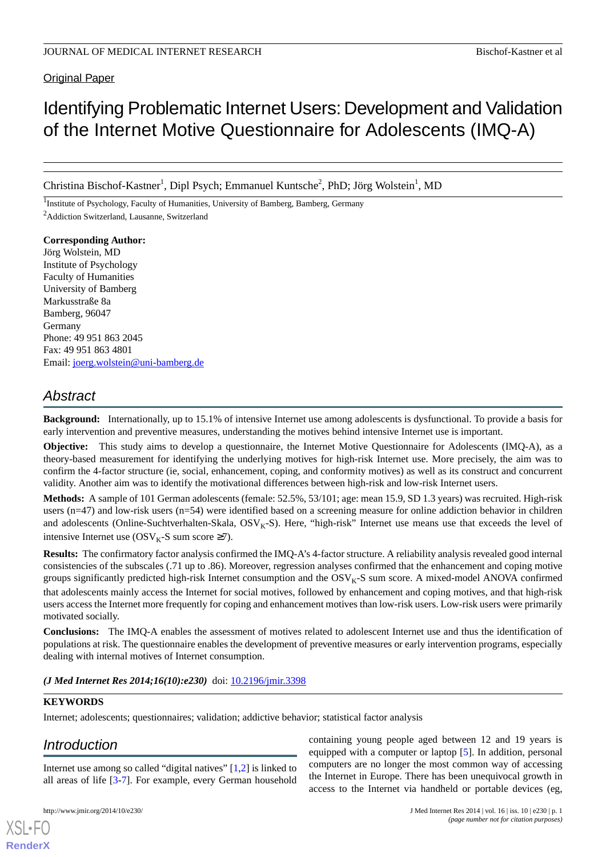Original Paper

# Identifying Problematic Internet Users: Development and Validation of the Internet Motive Questionnaire for Adolescents (IMQ-A)

Christina Bischof-Kastner<sup>1</sup>, Dipl Psych; Emmanuel Kuntsche<sup>2</sup>, PhD; Jörg Wolstein<sup>1</sup>, MD

<sup>1</sup>Institute of Psychology, Faculty of Humanities, University of Bamberg, Bamberg, Germany <sup>2</sup>Addiction Switzerland, Lausanne, Switzerland

**Corresponding Author:** Jörg Wolstein, MD Institute of Psychology Faculty of Humanities University of Bamberg Markusstraße 8a Bamberg, 96047 Germany Phone: 49 951 863 2045 Fax: 49 951 863 4801 Email: [joerg.wolstein@uni-bamberg.de](mailto:joerg.wolstein@uni-bamberg.de)

# *Abstract*

**Background:** Internationally, up to 15.1% of intensive Internet use among adolescents is dysfunctional. To provide a basis for early intervention and preventive measures, understanding the motives behind intensive Internet use is important.

**Objective:** This study aims to develop a questionnaire, the Internet Motive Questionnaire for Adolescents (IMQ-A), as a theory-based measurement for identifying the underlying motives for high-risk Internet use. More precisely, the aim was to confirm the 4-factor structure (ie, social, enhancement, coping, and conformity motives) as well as its construct and concurrent validity. Another aim was to identify the motivational differences between high-risk and low-risk Internet users.

**Methods:** A sample of 101 German adolescents (female: 52.5%, 53/101; age: mean 15.9, SD 1.3 years) was recruited. High-risk users (n=47) and low-risk users (n=54) were identified based on a screening measure for online addiction behavior in children and adolescents (Online-Suchtverhalten-Skala,  $OSV<sub>K</sub>-S$ ). Here, "high-risk" Internet use means use that exceeds the level of intensive Internet use (OSV<sub>K</sub>-S sum score ≥7).

**Results:** The confirmatory factor analysis confirmed the IMQ-A's 4-factor structure. A reliability analysis revealed good internal consistencies of the subscales (.71 up to .86). Moreover, regression analyses confirmed that the enhancement and coping motive groups significantly predicted high-risk Internet consumption and the  $OSV<sub>K</sub>-S$  sum score. A mixed-model ANOVA confirmed that adolescents mainly access the Internet for social motives, followed by enhancement and coping motives, and that high-risk users access the Internet more frequently for coping and enhancement motives than low-risk users. Low-risk users were primarily motivated socially.

**Conclusions:** The IMQ-A enables the assessment of motives related to adolescent Internet use and thus the identification of populations at risk. The questionnaire enables the development of preventive measures or early intervention programs, especially dealing with internal motives of Internet consumption.

*(J Med Internet Res 2014;16(10):e230)* doi:  $10.2196/$ jmir.3398

# **KEYWORDS**

Internet; adolescents; questionnaires; validation; addictive behavior; statistical factor analysis

# *Introduction*

Internet use among so called "digital natives" [\[1](#page-8-0),[2\]](#page-8-1) is linked to all areas of life [\[3](#page-8-2)[-7](#page-9-0)]. For example, every German household

[XSL](http://www.w3.org/Style/XSL)•FO **[RenderX](http://www.renderx.com/)**

containing young people aged between 12 and 19 years is equipped with a computer or laptop [\[5](#page-8-3)]. In addition, personal computers are no longer the most common way of accessing the Internet in Europe. There has been unequivocal growth in access to the Internet via handheld or portable devices (eg,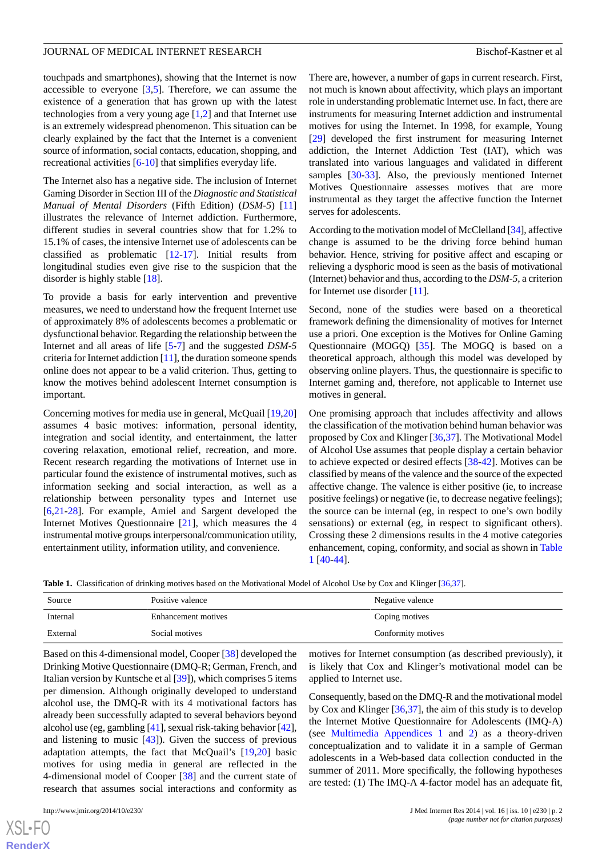touchpads and smartphones), showing that the Internet is now accessible to everyone  $[3,5]$  $[3,5]$  $[3,5]$ . Therefore, we can assume the existence of a generation that has grown up with the latest technologies from a very young age [[1](#page-8-0)[,2](#page-8-1)] and that Internet use is an extremely widespread phenomenon. This situation can be clearly explained by the fact that the Internet is a convenient source of information, social contacts, education, shopping, and recreational activities [[6](#page-9-1)[-10](#page-9-2)] that simplifies everyday life.

The Internet also has a negative side. The inclusion of Internet Gaming Disorder in Section III of the *Diagnostic and Statistical Manual of Mental Disorders* (Fifth Edition) (*DSM-5*) [\[11](#page-9-3)] illustrates the relevance of Internet addiction. Furthermore, different studies in several countries show that for 1.2% to 15.1% of cases, the intensive Internet use of adolescents can be classified as problematic [\[12](#page-9-4)-[17\]](#page-9-5). Initial results from longitudinal studies even give rise to the suspicion that the disorder is highly stable [\[18](#page-9-6)].

To provide a basis for early intervention and preventive measures, we need to understand how the frequent Internet use of approximately 8% of adolescents becomes a problematic or dysfunctional behavior. Regarding the relationship between the Internet and all areas of life [\[5](#page-8-3)-[7\]](#page-9-0) and the suggested *DSM-5* criteria for Internet addiction [[11\]](#page-9-3), the duration someone spends online does not appear to be a valid criterion. Thus, getting to know the motives behind adolescent Internet consumption is important.

Concerning motives for media use in general, McQuail [[19](#page-9-7)[,20](#page-9-8)] assumes 4 basic motives: information, personal identity, integration and social identity, and entertainment, the latter covering relaxation, emotional relief, recreation, and more. Recent research regarding the motivations of Internet use in particular found the existence of instrumental motives, such as information seeking and social interaction, as well as a relationship between personality types and Internet use [[6](#page-9-1)[,21](#page-9-9)-[28\]](#page-9-10). For example, Amiel and Sargent developed the Internet Motives Questionnaire [[21\]](#page-9-9), which measures the 4 instrumental motive groups interpersonal/communication utility, entertainment utility, information utility, and convenience.

There are, however, a number of gaps in current research. First, not much is known about affectivity, which plays an important role in understanding problematic Internet use. In fact, there are instruments for measuring Internet addiction and instrumental motives for using the Internet. In 1998, for example, Young [[29\]](#page-9-11) developed the first instrument for measuring Internet addiction, the Internet Addiction Test (IAT), which was translated into various languages and validated in different samples [\[30](#page-9-12)[-33](#page-10-0)]. Also, the previously mentioned Internet Motives Questionnaire assesses motives that are more instrumental as they target the affective function the Internet serves for adolescents.

According to the motivation model of McClelland [[34\]](#page-10-1), affective change is assumed to be the driving force behind human behavior. Hence, striving for positive affect and escaping or relieving a dysphoric mood is seen as the basis of motivational (Internet) behavior and thus, according to the *DSM-5*, a criterion for Internet use disorder [[11\]](#page-9-3).

Second, none of the studies were based on a theoretical framework defining the dimensionality of motives for Internet use a priori. One exception is the Motives for Online Gaming Questionnaire (MOGQ) [[35\]](#page-10-2). The MOGQ is based on a theoretical approach, although this model was developed by observing online players. Thus, the questionnaire is specific to Internet gaming and, therefore, not applicable to Internet use motives in general.

One promising approach that includes affectivity and allows the classification of the motivation behind human behavior was proposed by Cox and Klinger [[36,](#page-10-3)[37\]](#page-10-4). The Motivational Model of Alcohol Use assumes that people display a certain behavior to achieve expected or desired effects [[38](#page-10-5)[-42](#page-10-6)]. Motives can be classified by means of the valence and the source of the expected affective change. The valence is either positive (ie, to increase positive feelings) or negative (ie, to decrease negative feelings); the source can be internal (eg, in respect to one's own bodily sensations) or external (eg, in respect to significant others). Crossing these 2 dimensions results in the 4 motive categories enhancement, coping, conformity, and social as shown in [Table](#page-1-0) [1](#page-1-0) [\[40](#page-10-7)-[44\]](#page-10-8).

motives for Internet consumption (as described previously), it is likely that Cox and Klinger's motivational model can be

Consequently, based on the DMQ-R and the motivational model by Cox and Klinger [\[36](#page-10-3),[37\]](#page-10-4), the aim of this study is to develop the Internet Motive Questionnaire for Adolescents (IMQ-A) (see [Multimedia Appendices 1](#page-8-4) and [2\)](#page-8-5) as a theory-driven conceptualization and to validate it in a sample of German adolescents in a Web-based data collection conducted in the summer of 2011. More specifically, the following hypotheses are tested: (1) The IMQ-A 4-factor model has an adequate fit,

<span id="page-1-0"></span>**Table 1.** Classification of drinking motives based on the Motivational Model of Alcohol Use by Cox and Klinger [[36](#page-10-3)[,37\]](#page-10-4).

| Source   | Positive valence    | Negative valence   |
|----------|---------------------|--------------------|
| Internal | Enhancement motives | Coping motives     |
| External | Social motives      | Conformity motives |

applied to Internet use.

Based on this 4-dimensional model, Cooper [\[38](#page-10-5)] developed the Drinking Motive Questionnaire (DMQ-R; German, French, and Italian version by Kuntsche et al [[39\]](#page-10-9)), which comprises 5 items per dimension. Although originally developed to understand alcohol use, the DMQ-R with its 4 motivational factors has already been successfully adapted to several behaviors beyond alcohol use (eg, gambling [[41\]](#page-10-10), sexual risk-taking behavior [\[42\]](#page-10-6), and listening to music [[43\]](#page-10-11)). Given the success of previous adaptation attempts, the fact that McQuail's [[19](#page-9-7)[,20](#page-9-8)] basic motives for using media in general are reflected in the 4-dimensional model of Cooper [[38\]](#page-10-5) and the current state of research that assumes social interactions and conformity as

 $XSJ \cdot F$ **[RenderX](http://www.renderx.com/)**

http://www.jmir.org/2014/10/e230/ J Med Internet Res 2014 | vol. 16 | iss. 10 | e230 | p. 2 *(page number not for citation purposes)*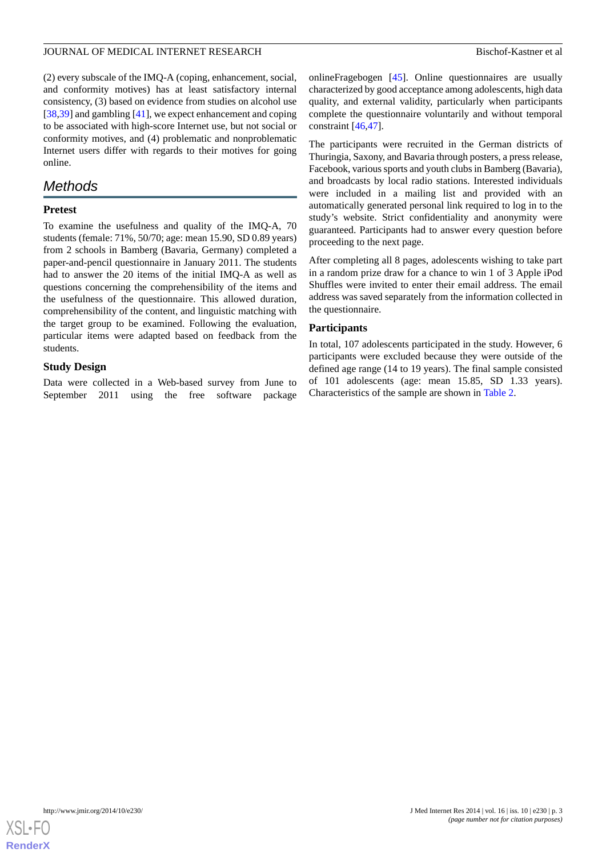(2) every subscale of the IMQ-A (coping, enhancement, social, and conformity motives) has at least satisfactory internal consistency, (3) based on evidence from studies on alcohol use [[38](#page-10-5)[,39](#page-10-9)] and gambling [\[41](#page-10-10)], we expect enhancement and coping to be associated with high-score Internet use, but not social or conformity motives, and (4) problematic and nonproblematic Internet users differ with regards to their motives for going online.

# *Methods*

#### **Pretest**

To examine the usefulness and quality of the IMQ-A, 70 students (female: 71%, 50/70; age: mean 15.90, SD 0.89 years) from 2 schools in Bamberg (Bavaria, Germany) completed a paper-and-pencil questionnaire in January 2011. The students had to answer the 20 items of the initial IMQ-A as well as questions concerning the comprehensibility of the items and the usefulness of the questionnaire. This allowed duration, comprehensibility of the content, and linguistic matching with the target group to be examined. Following the evaluation, particular items were adapted based on feedback from the students.

#### **Study Design**

Data were collected in a Web-based survey from June to<br>September 2011 using the free software package September 2011 using the free software package onlineFragebogen [[45\]](#page-10-12). Online questionnaires are usually characterized by good acceptance among adolescents, high data quality, and external validity, particularly when participants complete the questionnaire voluntarily and without temporal constraint [[46](#page-10-13)[,47](#page-10-14)].

The participants were recruited in the German districts of Thuringia, Saxony, and Bavaria through posters, a press release, Facebook, various sports and youth clubs in Bamberg (Bavaria), and broadcasts by local radio stations. Interested individuals were included in a mailing list and provided with an automatically generated personal link required to log in to the study's website. Strict confidentiality and anonymity were guaranteed. Participants had to answer every question before proceeding to the next page.

After completing all 8 pages, adolescents wishing to take part in a random prize draw for a chance to win 1 of 3 Apple iPod Shuffles were invited to enter their email address. The email address was saved separately from the information collected in the questionnaire.

### **Participants**

In total, 107 adolescents participated in the study. However, 6 participants were excluded because they were outside of the defined age range (14 to 19 years). The final sample consisted of 101 adolescents (age: mean 15.85, SD 1.33 years). Characteristics of the sample are shown in [Table 2.](#page-3-0)

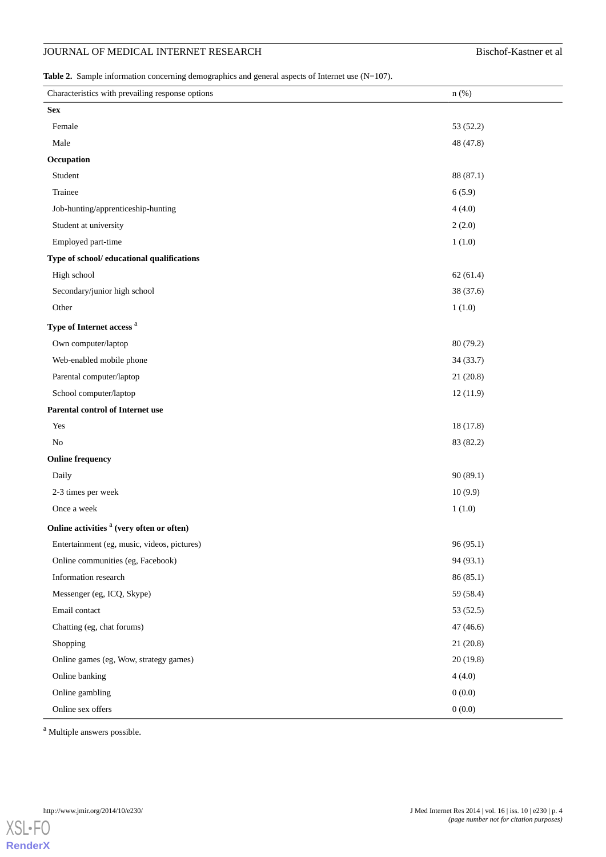# **JOURNAL OF MEDICAL INTERNET RESEARCH** Bischof-Kastner et al

<span id="page-3-0"></span>Table 2. Sample information concerning demographics and general aspects of Internet use (N=107).

| Characteristics with prevailing response options     | $n$ (%)   |
|------------------------------------------------------|-----------|
| <b>Sex</b>                                           |           |
| Female                                               | 53 (52.2) |
| Male                                                 | 48 (47.8) |
| Occupation                                           |           |
| Student                                              | 88 (87.1) |
| Trainee                                              | 6(5.9)    |
| Job-hunting/apprenticeship-hunting                   | 4(4.0)    |
| Student at university                                | 2(2.0)    |
| Employed part-time                                   | 1(1.0)    |
| Type of school/ educational qualifications           |           |
| High school                                          | 62(61.4)  |
| Secondary/junior high school                         | 38 (37.6) |
| Other                                                | 1(1.0)    |
| Type of Internet access <sup>a</sup>                 |           |
| Own computer/laptop                                  | 80 (79.2) |
| Web-enabled mobile phone                             | 34 (33.7) |
| Parental computer/laptop                             | 21(20.8)  |
| School computer/laptop                               | 12(11.9)  |
| Parental control of Internet use                     |           |
| Yes                                                  | 18 (17.8) |
| No                                                   | 83 (82.2) |
| <b>Online frequency</b>                              |           |
| Daily                                                | 90(89.1)  |
| 2-3 times per week                                   | 10(9.9)   |
| Once a week                                          | 1(1.0)    |
| Online activities <sup>a</sup> (very often or often) |           |
| Entertainment (eg, music, videos, pictures)          | 96 (95.1) |
| Online communities (eg, Facebook)                    | 94 (93.1) |
| Information research                                 | 86(85.1)  |
| Messenger (eg, ICQ, Skype)                           | 59 (58.4) |
| Email contact                                        | 53 (52.5) |
| Chatting (eg, chat forums)                           | 47(46.6)  |
| Shopping                                             | 21(20.8)  |
| Online games (eg, Wow, strategy games)               | 20(19.8)  |
| Online banking                                       | 4(4.0)    |
| Online gambling                                      | 0(0.0)    |
| Online sex offers                                    | 0(0.0)    |

<sup>a</sup> Multiple answers possible.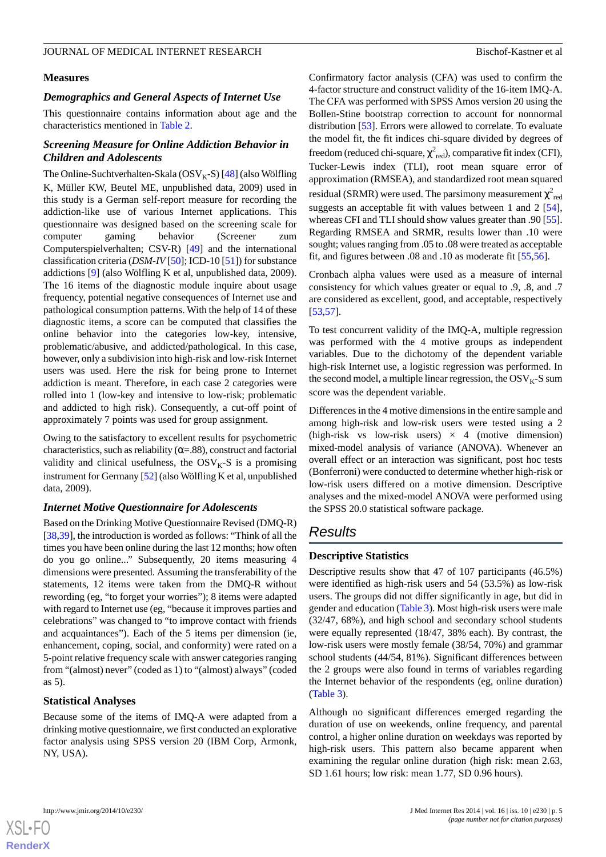#### **Measures**

#### *Demographics and General Aspects of Internet Use*

This questionnaire contains information about age and the characteristics mentioned in [Table 2.](#page-3-0)

# *Screening Measure for Online Addiction Behavior in Children and Adolescents*

The Online-Suchtverhalten-Skala ( $OSV<sub>K</sub>-S$ ) [[48\]](#page-10-15) (also Wölfling K, Müller KW, Beutel ME, unpublished data, 2009) used in this study is a German self-report measure for recording the addiction-like use of various Internet applications. This questionnaire was designed based on the screening scale for computer gaming behavior (Screener zum Computerspielverhalten; CSV-R) [\[49](#page-10-16)] and the international classification criteria (*DSM-IV* [[50\]](#page-10-17); ICD-10 [\[51](#page-10-18)]) for substance addictions [[9\]](#page-9-13) (also Wölfling K et al, unpublished data, 2009). The 16 items of the diagnostic module inquire about usage frequency, potential negative consequences of Internet use and pathological consumption patterns. With the help of 14 of these diagnostic items, a score can be computed that classifies the online behavior into the categories low-key, intensive, problematic/abusive, and addicted/pathological. In this case, however, only a subdivision into high-risk and low-risk Internet users was used. Here the risk for being prone to Internet addiction is meant. Therefore, in each case 2 categories were rolled into 1 (low-key and intensive to low-risk; problematic and addicted to high risk). Consequently, a cut-off point of approximately 7 points was used for group assignment.

Owing to the satisfactory to excellent results for psychometric characteristics, such as reliability ( $\alpha$ =.88), construct and factorial validity and clinical usefulness, the  $OSV<sub>K</sub>-S$  is a promising instrument for Germany [[52](#page-10-19)] (also Wölfling K et al, unpublished data, 2009).

# *Internet Motive Questionnaire for Adolescents*

Based on the Drinking Motive Questionnaire Revised (DMQ-R) [[38](#page-10-5)[,39](#page-10-9)], the introduction is worded as follows: "Think of all the times you have been online during the last 12 months; how often do you go online..." Subsequently, 20 items measuring 4 dimensions were presented. Assuming the transferability of the statements, 12 items were taken from the DMQ-R without rewording (eg, "to forget your worries"); 8 items were adapted with regard to Internet use (eg, "because it improves parties and celebrations" was changed to "to improve contact with friends and acquaintances"). Each of the 5 items per dimension (ie, enhancement, coping, social, and conformity) were rated on a 5-point relative frequency scale with answer categories ranging from "(almost) never" (coded as 1) to "(almost) always" (coded as 5).

# **Statistical Analyses**

Because some of the items of IMQ-A were adapted from a drinking motive questionnaire, we first conducted an explorative factor analysis using SPSS version 20 (IBM Corp, Armonk, NY, USA).

Confirmatory factor analysis (CFA) was used to confirm the 4-factor structure and construct validity of the 16-item IMQ-A. The CFA was performed with SPSS Amos version 20 using the Bollen-Stine bootstrap correction to account for nonnormal distribution [\[53](#page-10-20)]. Errors were allowed to correlate. To evaluate the model fit, the fit indices chi-square divided by degrees of freedom (reduced chi-square,  $\chi^2_{\text{red}}$ ), comparative fit index (CFI), Tucker-Lewis index (TLI), root mean square error of approximation (RMSEA), and standardized root mean squared residual (SRMR) were used. The parsimony measurement  $\chi^2_{\;\rm red}$ suggests an acceptable fit with values between 1 and 2 [[54\]](#page-10-21), whereas CFI and TLI should show values greater than .90 [[55\]](#page-10-22). Regarding RMSEA and SRMR, results lower than .10 were sought; values ranging from .05 to .08 were treated as acceptable fit, and figures between .08 and .10 as moderate fit [\[55](#page-10-22),[56\]](#page-10-23).

Cronbach alpha values were used as a measure of internal consistency for which values greater or equal to .9, .8, and .7 are considered as excellent, good, and acceptable, respectively [[53,](#page-10-20)[57\]](#page-10-24).

To test concurrent validity of the IMQ-A, multiple regression was performed with the 4 motive groups as independent variables. Due to the dichotomy of the dependent variable high-risk Internet use, a logistic regression was performed. In the second model, a multiple linear regression, the  $OSV<sub>K</sub>-S$  sum score was the dependent variable.

Differences in the 4 motive dimensions in the entire sample and among high-risk and low-risk users were tested using a 2 (high-risk vs low-risk users)  $\times$  4 (motive dimension) mixed-model analysis of variance (ANOVA). Whenever an overall effect or an interaction was significant, post hoc tests (Bonferroni) were conducted to determine whether high-risk or low-risk users differed on a motive dimension. Descriptive analyses and the mixed-model ANOVA were performed using the SPSS 20.0 statistical software package.

# *Results*

# **Descriptive Statistics**

Descriptive results show that 47 of 107 participants (46.5%) were identified as high-risk users and 54 (53.5%) as low-risk users. The groups did not differ significantly in age, but did in gender and education ([Table 3\)](#page-5-0). Most high-risk users were male (32/47, 68%), and high school and secondary school students were equally represented (18/47, 38% each). By contrast, the low-risk users were mostly female (38/54, 70%) and grammar school students (44/54, 81%). Significant differences between the 2 groups were also found in terms of variables regarding the Internet behavior of the respondents (eg, online duration) ([Table 3](#page-5-0)).

Although no significant differences emerged regarding the duration of use on weekends, online frequency, and parental control, a higher online duration on weekdays was reported by high-risk users. This pattern also became apparent when examining the regular online duration (high risk: mean 2.63, SD 1.61 hours; low risk: mean 1.77, SD 0.96 hours).

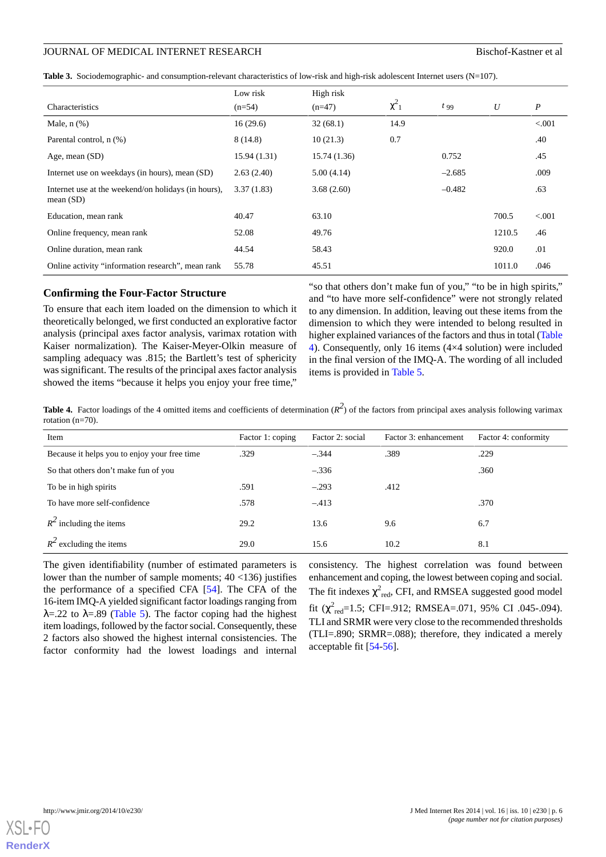<span id="page-5-0"></span>

|  |  |  | Table 3. Sociodemographic- and consumption-relevant characteristics of low-risk and high-risk adolescent Internet users $(N=107)$ . |  |
|--|--|--|-------------------------------------------------------------------------------------------------------------------------------------|--|
|--|--|--|-------------------------------------------------------------------------------------------------------------------------------------|--|

| Characteristics                                                    | Low risk<br>$(n=54)$ | High risk<br>$(n=47)$ | $\chi^2_{1}$ | $t_{99}$ | U      | $\boldsymbol{P}$ |
|--------------------------------------------------------------------|----------------------|-----------------------|--------------|----------|--------|------------------|
|                                                                    |                      |                       | 14.9         |          |        | < 0.001          |
| Male, $n$ $(\%)$                                                   | 16(29.6)             | 32(68.1)              |              |          |        |                  |
| Parental control, n (%)                                            | 8(14.8)              | 10(21.3)              | 0.7          |          |        | .40              |
| Age, mean $(SD)$                                                   | 15.94(1.31)          | 15.74(1.36)           |              | 0.752    |        | .45              |
| Internet use on weekdays (in hours), mean (SD)                     | 2.63(2.40)           | 5.00(4.14)            |              | $-2.685$ |        | .009             |
| Internet use at the weekend/on holidays (in hours),<br>mean $(SD)$ | 3.37(1.83)           | 3.68(2.60)            |              | $-0.482$ |        | .63              |
| Education, mean rank                                               | 40.47                | 63.10                 |              |          | 700.5  | < 0.001          |
| Online frequency, mean rank                                        | 52.08                | 49.76                 |              |          | 1210.5 | .46              |
| Online duration, mean rank                                         | 44.54                | 58.43                 |              |          | 920.0  | .01              |
| Online activity "information research", mean rank                  | 55.78                | 45.51                 |              |          | 1011.0 | .046             |

#### **Confirming the Four-Factor Structure**

To ensure that each item loaded on the dimension to which it theoretically belonged, we first conducted an explorative factor analysis (principal axes factor analysis, varimax rotation with Kaiser normalization). The Kaiser-Meyer-Olkin measure of sampling adequacy was .815; the Bartlett's test of sphericity was significant. The results of the principal axes factor analysis showed the items "because it helps you enjoy your free time,"

"so that others don't make fun of you," "to be in high spirits," and "to have more self-confidence" were not strongly related to any dimension. In addition, leaving out these items from the dimension to which they were intended to belong resulted in higher explained variances of the factors and thus in total [\(Table](#page-5-1) [4\)](#page-5-1). Consequently, only 16 items (4×4 solution) were included in the final version of the IMQ-A. The wording of all included items is provided in [Table 5.](#page-6-0)

<span id="page-5-1"></span>**Table 4.** Factor loadings of the 4 omitted items and coefficients of determination  $(R^2)$  of the factors from principal axes analysis following varimax rotation (n=70).

| Item                                         | Factor 1: coping | Factor 2: social | Factor 3: enhancement | Factor 4: conformity |
|----------------------------------------------|------------------|------------------|-----------------------|----------------------|
| Because it helps you to enjoy your free time | .329             | $-.344$          | .389                  | .229                 |
| So that others don't make fun of you         |                  | $-.336$          |                       | .360                 |
| To be in high spirits                        | .591             | $-.293$          | .412                  |                      |
| To have more self-confidence                 | .578             | $-.413$          |                       | .370                 |
| $R^2$ including the items                    | 29.2             | 13.6             | 9.6                   | 6.7                  |
| $R^2$ excluding the items                    | 29.0             | 15.6             | 10.2                  | 8.1                  |

The given identifiability (number of estimated parameters is lower than the number of sample moments; 40 <136) justifies the performance of a specified CFA [[54\]](#page-10-21). The CFA of the 16-item IMQ-A yielded significant factor loadings ranging from  $\lambda = 0.22$  to  $\lambda = 0.89$  ([Table 5](#page-6-0)). The factor coping had the highest item loadings, followed by the factor social. Consequently, these 2 factors also showed the highest internal consistencies. The factor conformity had the lowest loadings and internal

consistency. The highest correlation was found between enhancement and coping, the lowest between coping and social. The fit indexes  $\chi^2_{\text{red}}$ , CFI, and RMSEA suggested good model fit  $(\chi^2_{\text{red}}=1.5; \text{CFI} = .912; \text{RMSEA} = .071, 95\% \text{ CI}$  .045-.094). TLI and SRMR were very close to the recommended thresholds (TLI=.890; SRMR=.088); therefore, they indicated a merely acceptable fit [[54](#page-10-21)[-56](#page-10-23)].

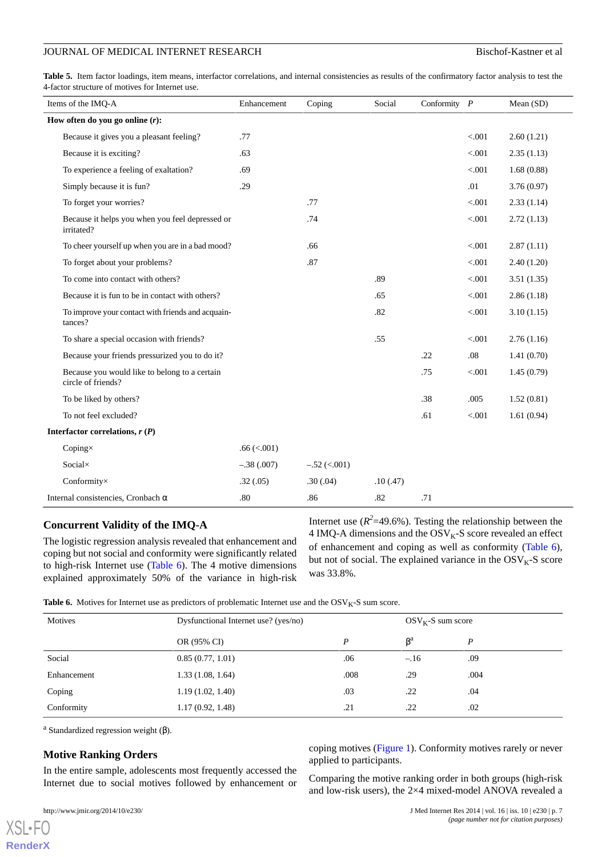#### JOURNAL OF MEDICAL INTERNET RESEARCH Bischof-Kastner et al.

<span id="page-6-0"></span>Table 5. Item factor loadings, item means, interfactor correlations, and internal consistencies as results of the confirmatory factor analysis to test the 4-factor structure of motives for Internet use.

| Items of the IMQ-A                                                  | Enhancement      | Coping         | Social   | Conformity $P$ |         | Mean (SD)  |
|---------------------------------------------------------------------|------------------|----------------|----------|----------------|---------|------------|
| How often do you go online $(r)$ :                                  |                  |                |          |                |         |            |
| Because it gives you a pleasant feeling?                            | .77              |                |          |                | < 0.001 | 2.60(1.21) |
| Because it is exciting?                                             | .63              |                |          |                | < 0.001 | 2.35(1.13) |
| To experience a feeling of exaltation?                              | .69              |                |          |                | < 0.001 | 1.68(0.88) |
| Simply because it is fun?                                           | .29              |                |          |                | .01     | 3.76(0.97) |
| To forget your worries?                                             |                  | .77            |          |                | < 0.001 | 2.33(1.14) |
| Because it helps you when you feel depressed or<br>irritated?       |                  | .74            |          |                | < 0.001 | 2.72(1.13) |
| To cheer yourself up when you are in a bad mood?                    |                  | .66            |          |                | < 0.001 | 2.87(1.11) |
| To forget about your problems?                                      |                  | .87            |          |                | < 0.001 | 2.40(1.20) |
| To come into contact with others?                                   |                  |                | .89      |                | < 0.001 | 3.51(1.35) |
| Because it is fun to be in contact with others?                     |                  |                | .65      |                | $< 001$ | 2.86(1.18) |
| To improve your contact with friends and acquain-<br>tances?        |                  |                | .82      |                | < .001  | 3.10(1.15) |
| To share a special occasion with friends?                           |                  |                | .55      |                | $< 001$ | 2.76(1.16) |
| Because your friends pressurized you to do it?                      |                  |                |          | .22            | .08     | 1.41(0.70) |
| Because you would like to belong to a certain<br>circle of friends? |                  |                |          | .75            | < 0.001 | 1.45(0.79) |
| To be liked by others?                                              |                  |                |          | .38            | .005    | 1.52(0.81) |
| To not feel excluded?                                               |                  |                |          | .61            | < 0.001 | 1.61(0.94) |
| Interfactor correlations, $r(P)$                                    |                  |                |          |                |         |            |
| Coping $\times$                                                     | $.66 \, (< 001)$ |                |          |                |         |            |
| Socialx                                                             | $-.38(.007)$     | $-.52 (< 001)$ |          |                |         |            |
| Conformity×                                                         | .32(.05)         | .30(.04)       | .10(.47) |                |         |            |
| Internal consistencies, Cronbach $\alpha$                           | .80              | .86            | .82      | .71            |         |            |

#### **Concurrent Validity of the IMQ-A**

<span id="page-6-1"></span>The logistic regression analysis revealed that enhancement and coping but not social and conformity were significantly related to high-risk Internet use [\(Table 6](#page-6-1)). The 4 motive dimensions explained approximately 50% of the variance in high-risk Internet use  $(R^2=49.6\%)$ . Testing the relationship between the 4 IMQ-A dimensions and the  $OSV<sub>K</sub>-S$  score revealed an effect of enhancement and coping as well as conformity [\(Table 6\)](#page-6-1), but not of social. The explained variance in the  $OSV<sub>K</sub>-S$  score was 33.8%.

Table 6. Motives for Internet use as predictors of problematic Internet use and the OSV<sub>K</sub>-S sum score.

| Motives     | Dysfunctional Internet use? (yes/no) |      | $OSVK$ -S sum score |      |  |
|-------------|--------------------------------------|------|---------------------|------|--|
|             | OR (95% CI)                          | D    | $\beta^a$           | P    |  |
| Social      | 0.85(0.77, 1.01)                     | .06  | $-.16$              | .09  |  |
| Enhancement | 1.33(1.08, 1.64)                     | .008 | .29                 | .004 |  |
| Coping      | 1.19(1.02, 1.40)                     | .03  | .22                 | .04  |  |
| Conformity  | 1.17(0.92, 1.48)                     | .21  | .22                 | .02  |  |

<sup>a</sup> Standardized regression weight (β).

# **Motive Ranking Orders**

In the entire sample, adolescents most frequently accessed the Internet due to social motives followed by enhancement or

[XSL](http://www.w3.org/Style/XSL)•FO **[RenderX](http://www.renderx.com/)**

coping motives [\(Figure 1\)](#page-7-0). Conformity motives rarely or never applied to participants.

Comparing the motive ranking order in both groups (high-risk and low-risk users), the 2×4 mixed-model ANOVA revealed a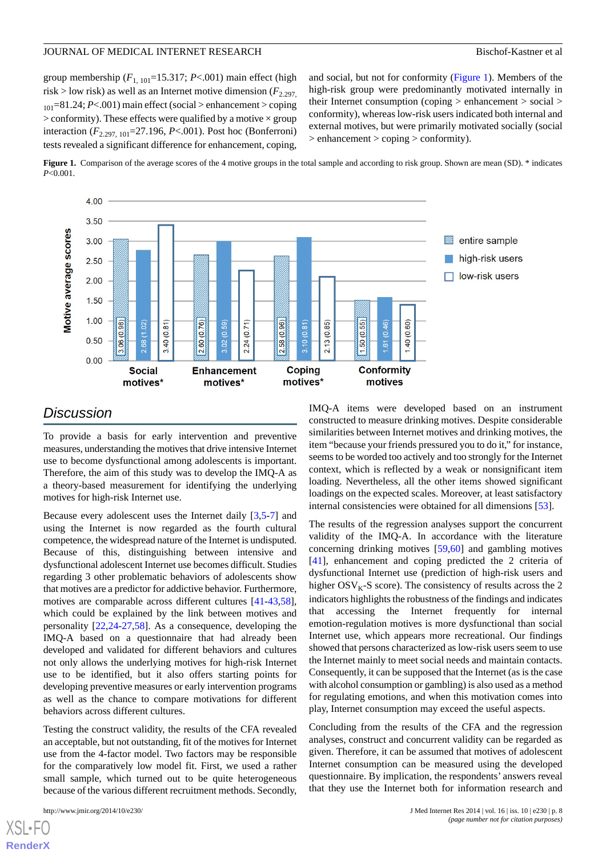group membership  $(F_{1, 101} = 15.317; P < .001)$  main effect (high risk > low risk) as well as an Internet motive dimension  $(F_{2.297}$  $_{101}$ =81.24; *P*<.001) main effect (social > enhancement > coping  $>$  conformity). These effects were qualified by a motive  $\times$  group interaction (*F*2.297, 101=27.196, *P*<.001). Post hoc (Bonferroni) tests revealed a significant difference for enhancement, coping, and social, but not for conformity ([Figure 1\)](#page-7-0). Members of the high-risk group were predominantly motivated internally in their Internet consumption (coping > enhancement > social > conformity), whereas low-risk users indicated both internal and external motives, but were primarily motivated socially (social  $>$  enhancement  $>$  coping  $>$  conformity).

<span id="page-7-0"></span>**Figure 1.** Comparison of the average scores of the 4 motive groups in the total sample and according to risk group. Shown are mean (SD). \* indicates *P*<0.001.



# *Discussion*

To provide a basis for early intervention and preventive measures, understanding the motives that drive intensive Internet use to become dysfunctional among adolescents is important. Therefore, the aim of this study was to develop the IMQ-A as a theory-based measurement for identifying the underlying motives for high-risk Internet use.

Because every adolescent uses the Internet daily [\[3](#page-8-2),[5](#page-8-3)[-7](#page-9-0)] and using the Internet is now regarded as the fourth cultural competence, the widespread nature of the Internet is undisputed. Because of this, distinguishing between intensive and dysfunctional adolescent Internet use becomes difficult. Studies regarding 3 other problematic behaviors of adolescents show that motives are a predictor for addictive behavior. Furthermore, motives are comparable across different cultures [[41](#page-10-10)[-43](#page-10-11),[58\]](#page-10-25), which could be explained by the link between motives and personality [[22](#page-9-14)[,24](#page-9-15)-[27](#page-9-16)[,58](#page-10-25)]. As a consequence, developing the IMQ-A based on a questionnaire that had already been developed and validated for different behaviors and cultures not only allows the underlying motives for high-risk Internet use to be identified, but it also offers starting points for developing preventive measures or early intervention programs as well as the chance to compare motivations for different behaviors across different cultures.

Testing the construct validity, the results of the CFA revealed an acceptable, but not outstanding, fit of the motives for Internet use from the 4-factor model. Two factors may be responsible for the comparatively low model fit. First, we used a rather small sample, which turned out to be quite heterogeneous because of the various different recruitment methods. Secondly,

[XSL](http://www.w3.org/Style/XSL)•FO **[RenderX](http://www.renderx.com/)**

IMQ-A items were developed based on an instrument constructed to measure drinking motives. Despite considerable similarities between Internet motives and drinking motives, the item "because your friends pressured you to do it," for instance, seems to be worded too actively and too strongly for the Internet context, which is reflected by a weak or nonsignificant item loading. Nevertheless, all the other items showed significant loadings on the expected scales. Moreover, at least satisfactory internal consistencies were obtained for all dimensions [[53\]](#page-10-20).

The results of the regression analyses support the concurrent validity of the IMQ-A. In accordance with the literature concerning drinking motives [\[59](#page-10-26)[,60](#page-10-27)] and gambling motives [[41\]](#page-10-10), enhancement and coping predicted the 2 criteria of dysfunctional Internet use (prediction of high-risk users and higher  $OSV<sub>K</sub>$ -S score). The consistency of results across the 2 indicators highlights the robustness of the findings and indicates that accessing the Internet frequently for internal emotion-regulation motives is more dysfunctional than social Internet use, which appears more recreational. Our findings showed that persons characterized as low-risk users seem to use the Internet mainly to meet social needs and maintain contacts. Consequently, it can be supposed that the Internet (as is the case with alcohol consumption or gambling) is also used as a method for regulating emotions, and when this motivation comes into play, Internet consumption may exceed the useful aspects.

Concluding from the results of the CFA and the regression analyses, construct and concurrent validity can be regarded as given. Therefore, it can be assumed that motives of adolescent Internet consumption can be measured using the developed questionnaire. By implication, the respondents' answers reveal that they use the Internet both for information research and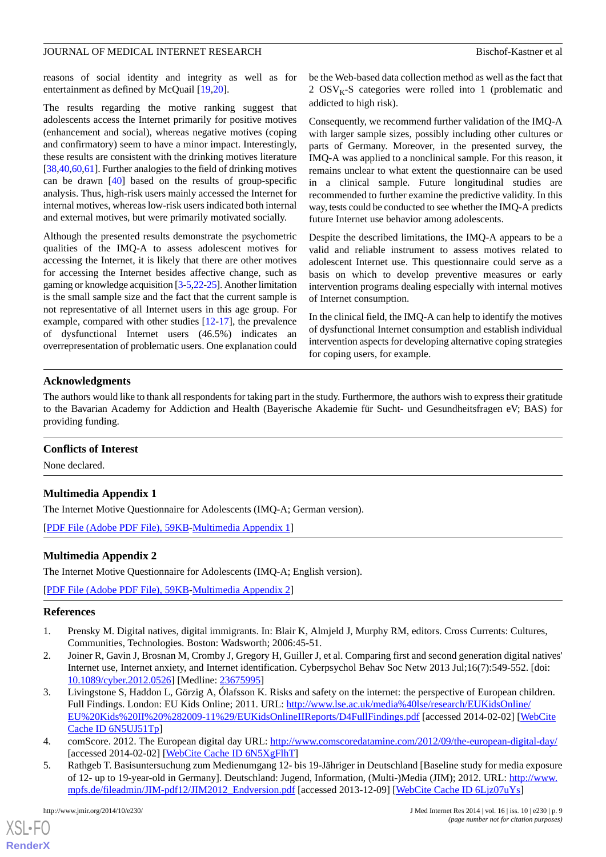#### JOURNAL OF MEDICAL INTERNET RESEARCH BISCHOF-Kastner et al.

reasons of social identity and integrity as well as for entertainment as defined by McQuail [\[19](#page-9-7),[20\]](#page-9-8).

The results regarding the motive ranking suggest that adolescents access the Internet primarily for positive motives (enhancement and social), whereas negative motives (coping and confirmatory) seem to have a minor impact. Interestingly, these results are consistent with the drinking motives literature [[38,](#page-10-5)[40](#page-10-7),[60](#page-10-27)[,61\]](#page-10-28). Further analogies to the field of drinking motives can be drawn [[40\]](#page-10-7) based on the results of group-specific analysis. Thus, high-risk users mainly accessed the Internet for internal motives, whereas low-risk users indicated both internal and external motives, but were primarily motivated socially.

Although the presented results demonstrate the psychometric qualities of the IMQ-A to assess adolescent motives for accessing the Internet, it is likely that there are other motives for accessing the Internet besides affective change, such as gaming or knowledge acquisition [\[3](#page-8-2)[-5](#page-8-3)[,22](#page-9-14)[-25\]](#page-9-17). Another limitation is the small sample size and the fact that the current sample is not representative of all Internet users in this age group. For example, compared with other studies [[12-](#page-9-4)[17](#page-9-5)], the prevalence of dysfunctional Internet users (46.5%) indicates an overrepresentation of problematic users. One explanation could be the Web-based data collection method as well as the fact that 2  $OSV<sub>K</sub>$ -S categories were rolled into 1 (problematic and addicted to high risk).

Consequently, we recommend further validation of the IMQ-A with larger sample sizes, possibly including other cultures or parts of Germany. Moreover, in the presented survey, the IMQ-A was applied to a nonclinical sample. For this reason, it remains unclear to what extent the questionnaire can be used in a clinical sample. Future longitudinal studies are recommended to further examine the predictive validity. In this way, tests could be conducted to see whether the IMQ-A predicts future Internet use behavior among adolescents.

Despite the described limitations, the IMQ-A appears to be a valid and reliable instrument to assess motives related to adolescent Internet use. This questionnaire could serve as a basis on which to develop preventive measures or early intervention programs dealing especially with internal motives of Internet consumption.

In the clinical field, the IMQ-A can help to identify the motives of dysfunctional Internet consumption and establish individual intervention aspects for developing alternative coping strategies for coping users, for example.

# **Acknowledgments**

The authors would like to thank all respondents for taking part in the study. Furthermore, the authors wish to express their gratitude to the Bavarian Academy for Addiction and Health (Bayerische Akademie für Sucht- und Gesundheitsfragen eV; BAS) for providing funding.

#### <span id="page-8-4"></span>**Conflicts of Interest**

None declared.

# <span id="page-8-5"></span>**Multimedia Appendix 1**

The Internet Motive Questionnaire for Adolescents (IMQ-A; German version).

[[PDF File \(Adobe PDF File\), 59KB-Multimedia Appendix 1](https://jmir.org/api/download?alt_name=jmir_v16i10e230_app1.pdf&filename=7a10edecbb3edb048965d34eb1d5a9b1.pdf)]

#### **Multimedia Appendix 2**

<span id="page-8-0"></span>The Internet Motive Questionnaire for Adolescents (IMQ-A; English version).

<span id="page-8-1"></span>[[PDF File \(Adobe PDF File\), 59KB-Multimedia Appendix 2](https://jmir.org/api/download?alt_name=jmir_v16i10e230_app2.pdf&filename=04c53d6d76c7366b03d3535b01b7a029.pdf)]

#### **References**

- <span id="page-8-2"></span>1. Prensky M. Digital natives, digital immigrants. In: Blair K, Almjeld J, Murphy RM, editors. Cross Currents: Cultures, Communities, Technologies. Boston: Wadsworth; 2006:45-51.
- 2. Joiner R, Gavin J, Brosnan M, Cromby J, Gregory H, Guiller J, et al. Comparing first and second generation digital natives' Internet use, Internet anxiety, and Internet identification. Cyberpsychol Behav Soc Netw 2013 Jul;16(7):549-552. [doi: [10.1089/cyber.2012.0526](http://dx.doi.org/10.1089/cyber.2012.0526)] [Medline: [23675995](http://www.ncbi.nlm.nih.gov/entrez/query.fcgi?cmd=Retrieve&db=PubMed&list_uids=23675995&dopt=Abstract)]
- <span id="page-8-3"></span>3. Livingstone S, Haddon L, Görzig A, Ólafsson K. Risks and safety on the internet: the perspective of European children. Full Findings. London: EU Kids Online; 2011. URL: [http://www.lse.ac.uk/media%40lse/research/EUKidsOnline/](http://www.lse.ac.uk/media%40lse/research/EUKidsOnline/EU%20Kids%20II%20%282009-11%29/EUKidsOnlineIIReports/D4FullFindings.pdf) [EU%20Kids%20II%20%282009-11%29/EUKidsOnlineIIReports/D4FullFindings.pdf](http://www.lse.ac.uk/media%40lse/research/EUKidsOnline/EU%20Kids%20II%20%282009-11%29/EUKidsOnlineIIReports/D4FullFindings.pdf) [accessed 2014-02-02] [[WebCite](http://www.webcitation.org/

                                    6N5UJ51Tp) [Cache ID 6N5UJ51Tp](http://www.webcitation.org/

                                    6N5UJ51Tp)]
- 4. comScore. 2012. The European digital day URL: <http://www.comscoredatamine.com/2012/09/the-european-digital-day/> [accessed 2014-02-02] [\[WebCite Cache ID 6N5XgFlhT\]](http://www.webcitation.org/

                                    6N5XgFlhT)
- 5. Rathgeb T. Basisuntersuchung zum Medienumgang 12- bis 19-Jähriger in Deutschland [Baseline study for media exposure of 12- up to 19-year-old in Germany]. Deutschland: Jugend, Information, (Multi-)Media (JIM); 2012. URL: [http://www.](http://www.mpfs.de/fileadmin/JIM-pdf12/JIM2012_Endversion.pdf) [mpfs.de/fileadmin/JIM-pdf12/JIM2012\\_Endversion.pdf](http://www.mpfs.de/fileadmin/JIM-pdf12/JIM2012_Endversion.pdf) [accessed 2013-12-09] [\[WebCite Cache ID 6Ljz07uYs](http://www.webcitation.org/

                                    6Ljz07uYs)]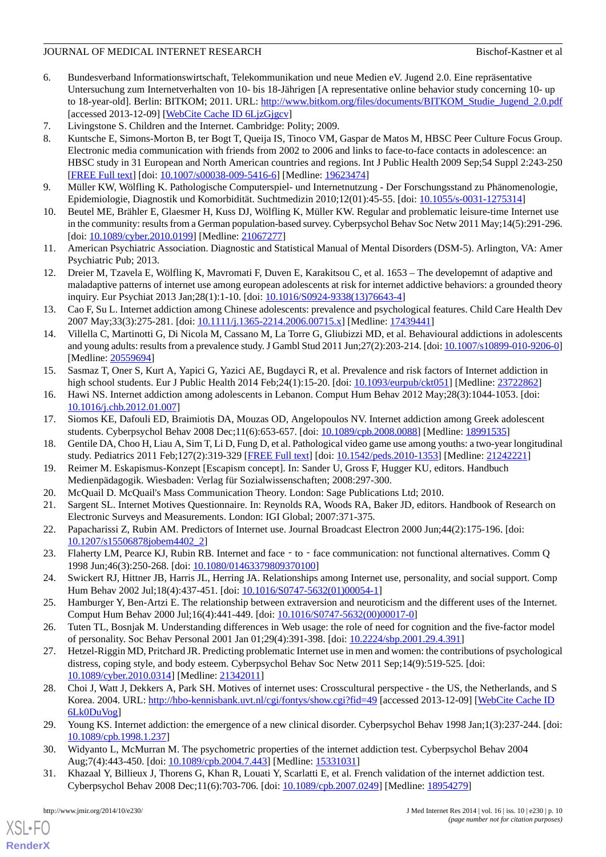### JOURNAL OF MEDICAL INTERNET RESEARCH BISChof-Kastner et al.

- <span id="page-9-1"></span>6. Bundesverband Informationswirtschaft, Telekommunikation und neue Medien eV. Jugend 2.0. Eine repräsentative Untersuchung zum Internetverhalten von 10- bis 18-Jährigen [A representative online behavior study concerning 10- up to 18-year-old]. Berlin: BITKOM; 2011. URL: [http://www.bitkom.org/files/documents/BITKOM\\_Studie\\_Jugend\\_2.0.pdf](http://www.bitkom.org/files/documents/BITKOM_Studie_Jugend_2.0.pdf) [accessed 2013-12-09] [\[WebCite Cache ID 6LjzGjgcv\]](http://www.webcitation.org/

                                    6LjzGjgcv)
- <span id="page-9-0"></span>7. Livingstone S. Children and the Internet. Cambridge: Polity; 2009.
- 8. Kuntsche E, Simons-Morton B, ter Bogt T, Queija IS, Tinoco VM, Gaspar de Matos M, HBSC Peer Culture Focus Group. Electronic media communication with friends from 2002 to 2006 and links to face-to-face contacts in adolescence: an HBSC study in 31 European and North American countries and regions. Int J Public Health 2009 Sep;54 Suppl 2:243-250 [[FREE Full text](http://europepmc.org/abstract/MED/19623474)] [doi: [10.1007/s00038-009-5416-6\]](http://dx.doi.org/10.1007/s00038-009-5416-6) [Medline: [19623474](http://www.ncbi.nlm.nih.gov/entrez/query.fcgi?cmd=Retrieve&db=PubMed&list_uids=19623474&dopt=Abstract)]
- <span id="page-9-13"></span><span id="page-9-2"></span>9. Müller KW, Wölfling K. Pathologische Computerspiel- und Internetnutzung - Der Forschungsstand zu Phänomenologie, Epidemiologie, Diagnostik und Komorbidität. Suchtmedizin 2010;12(01):45-55. [doi: [10.1055/s-0031-1275314](http://dx.doi.org/10.1055/s-0031-1275314)]
- <span id="page-9-3"></span>10. Beutel ME, Brähler E, Glaesmer H, Kuss DJ, Wölfling K, Müller KW. Regular and problematic leisure-time Internet use in the community: results from a German population-based survey. Cyberpsychol Behav Soc Netw 2011 May;14(5):291-296. [doi: [10.1089/cyber.2010.0199\]](http://dx.doi.org/10.1089/cyber.2010.0199) [Medline: [21067277\]](http://www.ncbi.nlm.nih.gov/entrez/query.fcgi?cmd=Retrieve&db=PubMed&list_uids=21067277&dopt=Abstract)
- <span id="page-9-4"></span>11. American Psychiatric Association. Diagnostic and Statistical Manual of Mental Disorders (DSM-5). Arlington, VA: Amer Psychiatric Pub; 2013.
- 12. Dreier M, Tzavela E, Wölfling K, Mavromati F, Duven E, Karakitsou C, et al. 1653 The developemnt of adaptive and maladaptive patterns of internet use among european adolescents at risk for internet addictive behaviors: a grounded theory inquiry. Eur Psychiat 2013 Jan;28(1):1-10. [doi: [10.1016/S0924-9338\(13\)76643-4](http://dx.doi.org/10.1016/S0924-9338(13)76643-4)]
- 13. Cao F, Su L. Internet addiction among Chinese adolescents: prevalence and psychological features. Child Care Health Dev 2007 May;33(3):275-281. [doi: [10.1111/j.1365-2214.2006.00715.x\]](http://dx.doi.org/10.1111/j.1365-2214.2006.00715.x) [Medline: [17439441\]](http://www.ncbi.nlm.nih.gov/entrez/query.fcgi?cmd=Retrieve&db=PubMed&list_uids=17439441&dopt=Abstract)
- 14. Villella C, Martinotti G, Di Nicola M, Cassano M, La Torre G, Gliubizzi MD, et al. Behavioural addictions in adolescents and young adults: results from a prevalence study. J Gambl Stud 2011 Jun;27(2):203-214. [doi: [10.1007/s10899-010-9206-0\]](http://dx.doi.org/10.1007/s10899-010-9206-0) [Medline: [20559694](http://www.ncbi.nlm.nih.gov/entrez/query.fcgi?cmd=Retrieve&db=PubMed&list_uids=20559694&dopt=Abstract)]
- <span id="page-9-5"></span>15. Sasmaz T, Oner S, Kurt A, Yapici G, Yazici AE, Bugdayci R, et al. Prevalence and risk factors of Internet addiction in high school students. Eur J Public Health 2014 Feb; 24(1): 15-20. [doi: [10.1093/eurpub/ckt051](http://dx.doi.org/10.1093/eurpub/ckt051)] [Medline: [23722862](http://www.ncbi.nlm.nih.gov/entrez/query.fcgi?cmd=Retrieve&db=PubMed&list_uids=23722862&dopt=Abstract)]
- <span id="page-9-6"></span>16. Hawi NS. Internet addiction among adolescents in Lebanon. Comput Hum Behav 2012 May;28(3):1044-1053. [doi: [10.1016/j.chb.2012.01.007\]](http://dx.doi.org/10.1016/j.chb.2012.01.007)
- <span id="page-9-7"></span>17. Siomos KE, Dafouli ED, Braimiotis DA, Mouzas OD, Angelopoulos NV. Internet addiction among Greek adolescent students. Cyberpsychol Behav 2008 Dec;11(6):653-657. [doi: [10.1089/cpb.2008.0088](http://dx.doi.org/10.1089/cpb.2008.0088)] [Medline: [18991535\]](http://www.ncbi.nlm.nih.gov/entrez/query.fcgi?cmd=Retrieve&db=PubMed&list_uids=18991535&dopt=Abstract)
- <span id="page-9-9"></span><span id="page-9-8"></span>18. Gentile DA, Choo H, Liau A, Sim T, Li D, Fung D, et al. Pathological video game use among youths: a two-year longitudinal study. Pediatrics 2011 Feb;127(2):319-329 [\[FREE Full text\]](http://pediatrics.aappublications.org/cgi/pmidlookup?view=long&pmid=21242221) [doi: [10.1542/peds.2010-1353](http://dx.doi.org/10.1542/peds.2010-1353)] [Medline: [21242221](http://www.ncbi.nlm.nih.gov/entrez/query.fcgi?cmd=Retrieve&db=PubMed&list_uids=21242221&dopt=Abstract)]
- <span id="page-9-14"></span>19. Reimer M. Eskapismus-Konzept [Escapism concept]. In: Sander U, Gross F, Hugger KU, editors. Handbuch Medienpädagogik. Wiesbaden: Verlag für Sozialwissenschaften; 2008:297-300.
- 20. McQuail D. McQuail's Mass Communication Theory. London: Sage Publications Ltd; 2010.
- 21. Sargent SL. Internet Motives Questionnaire. In: Reynolds RA, Woods RA, Baker JD, editors. Handbook of Research on Electronic Surveys and Measurements. London: IGI Global; 2007:371-375.
- <span id="page-9-15"></span>22. Papacharissi Z, Rubin AM. Predictors of Internet use. Journal Broadcast Electron 2000 Jun;44(2):175-196. [doi: [10.1207/s15506878jobem4402\\_2\]](http://dx.doi.org/10.1207/s15506878jobem4402_2)
- <span id="page-9-17"></span>23. Flaherty LM, Pearce KJ, Rubin RB. Internet and face - to - face communication: not functional alternatives. Comm Q 1998 Jun;46(3):250-268. [doi: [10.1080/01463379809370100](http://dx.doi.org/10.1080/01463379809370100)]
- <span id="page-9-16"></span>24. Swickert RJ, Hittner JB, Harris JL, Herring JA. Relationships among Internet use, personality, and social support. Comp Hum Behav 2002 Jul;18(4):437-451. [doi: [10.1016/S0747-5632\(01\)00054-1](http://dx.doi.org/10.1016/S0747-5632(01)00054-1)]
- 25. Hamburger Y, Ben-Artzi E. The relationship between extraversion and neuroticism and the different uses of the Internet. Comput Hum Behav 2000 Jul;16(4):441-449. [doi: [10.1016/S0747-5632\(00\)00017-0\]](http://dx.doi.org/10.1016/S0747-5632(00)00017-0)
- <span id="page-9-10"></span>26. Tuten TL, Bosnjak M. Understanding differences in Web usage: the role of need for cognition and the five-factor model of personality. Soc Behav Personal 2001 Jan 01;29(4):391-398. [doi: [10.2224/sbp.2001.29.4.391\]](http://dx.doi.org/10.2224/sbp.2001.29.4.391)
- <span id="page-9-11"></span>27. Hetzel-Riggin MD, Pritchard JR. Predicting problematic Internet use in men and women: the contributions of psychological distress, coping style, and body esteem. Cyberpsychol Behav Soc Netw 2011 Sep;14(9):519-525. [doi: [10.1089/cyber.2010.0314](http://dx.doi.org/10.1089/cyber.2010.0314)] [Medline: [21342011](http://www.ncbi.nlm.nih.gov/entrez/query.fcgi?cmd=Retrieve&db=PubMed&list_uids=21342011&dopt=Abstract)]
- <span id="page-9-12"></span>28. Choi J, Watt J, Dekkers A, Park SH. Motives of internet uses: Crosscultural perspective - the US, the Netherlands, and S Korea. 2004. URL: <http://hbo-kennisbank.uvt.nl/cgi/fontys/show.cgi?fid=49> [accessed 2013-12-09] [[WebCite Cache ID](http://www.webcitation.org/

                                    6Lk0DuVog) [6Lk0DuVog\]](http://www.webcitation.org/

                                    6Lk0DuVog)
- 29. Young KS. Internet addiction: the emergence of a new clinical disorder. Cyberpsychol Behav 1998 Jan;1(3):237-244. [doi: [10.1089/cpb.1998.1.237](http://dx.doi.org/10.1089/cpb.1998.1.237)]
- 30. Widyanto L, McMurran M. The psychometric properties of the internet addiction test. Cyberpsychol Behav 2004 Aug;7(4):443-450. [doi: [10.1089/cpb.2004.7.443](http://dx.doi.org/10.1089/cpb.2004.7.443)] [Medline: [15331031](http://www.ncbi.nlm.nih.gov/entrez/query.fcgi?cmd=Retrieve&db=PubMed&list_uids=15331031&dopt=Abstract)]
- 31. Khazaal Y, Billieux J, Thorens G, Khan R, Louati Y, Scarlatti E, et al. French validation of the internet addiction test. Cyberpsychol Behav 2008 Dec;11(6):703-706. [doi: [10.1089/cpb.2007.0249](http://dx.doi.org/10.1089/cpb.2007.0249)] [Medline: [18954279](http://www.ncbi.nlm.nih.gov/entrez/query.fcgi?cmd=Retrieve&db=PubMed&list_uids=18954279&dopt=Abstract)]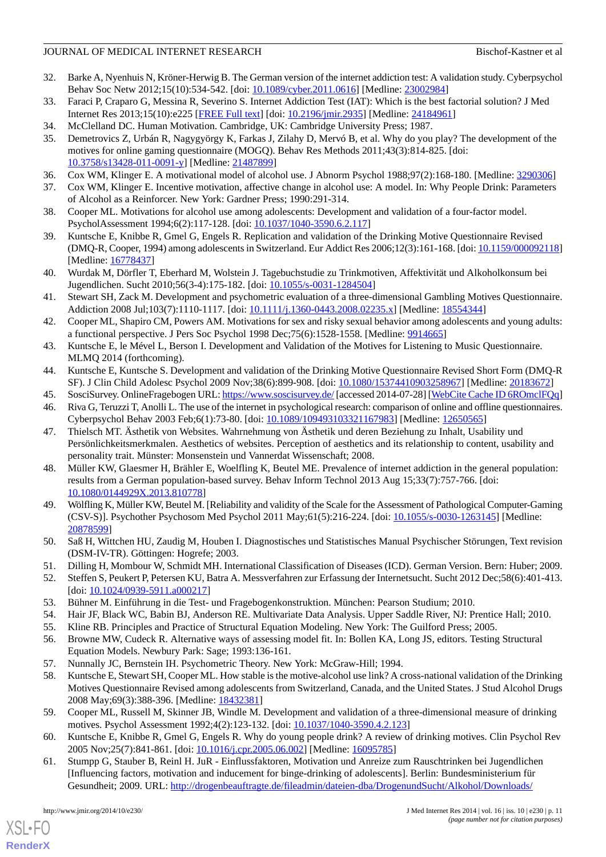#### JOURNAL OF MEDICAL INTERNET RESEARCH BISChof-Kastner et al.

- 32. Barke A, Nyenhuis N, Kröner-Herwig B. The German version of the internet addiction test: A validation study. Cyberpsychol Behav Soc Netw 2012;15(10):534-542. [doi: [10.1089/cyber.2011.0616\]](http://dx.doi.org/10.1089/cyber.2011.0616) [Medline: [23002984\]](http://www.ncbi.nlm.nih.gov/entrez/query.fcgi?cmd=Retrieve&db=PubMed&list_uids=23002984&dopt=Abstract)
- <span id="page-10-1"></span><span id="page-10-0"></span>33. Faraci P, Craparo G, Messina R, Severino S. Internet Addiction Test (IAT): Which is the best factorial solution? J Med Internet Res 2013;15(10):e225 [\[FREE Full text\]](http://www.jmir.org/2013/10/e225/) [doi: [10.2196/jmir.2935\]](http://dx.doi.org/10.2196/jmir.2935) [Medline: [24184961](http://www.ncbi.nlm.nih.gov/entrez/query.fcgi?cmd=Retrieve&db=PubMed&list_uids=24184961&dopt=Abstract)]
- <span id="page-10-2"></span>34. McClelland DC. Human Motivation. Cambridge, UK: Cambridge University Press; 1987.
- 35. Demetrovics Z, Urbán R, Nagygyörgy K, Farkas J, Zilahy D, Mervó B, et al. Why do you play? The development of the motives for online gaming questionnaire (MOGQ). Behav Res Methods 2011;43(3):814-825. [doi: [10.3758/s13428-011-0091-y\]](http://dx.doi.org/10.3758/s13428-011-0091-y) [Medline: [21487899](http://www.ncbi.nlm.nih.gov/entrez/query.fcgi?cmd=Retrieve&db=PubMed&list_uids=21487899&dopt=Abstract)]
- <span id="page-10-4"></span><span id="page-10-3"></span>36. Cox WM, Klinger E. A motivational model of alcohol use. J Abnorm Psychol 1988;97(2):168-180. [Medline: [3290306\]](http://www.ncbi.nlm.nih.gov/entrez/query.fcgi?cmd=Retrieve&db=PubMed&list_uids=3290306&dopt=Abstract)
- <span id="page-10-5"></span>37. Cox WM, Klinger E. Incentive motivation, affective change in alcohol use: A model. In: Why People Drink: Parameters of Alcohol as a Reinforcer. New York: Gardner Press; 1990:291-314.
- <span id="page-10-9"></span>38. Cooper ML. Motivations for alcohol use among adolescents: Development and validation of a four-factor model. PsycholAssessment 1994;6(2):117-128. [doi: [10.1037/1040-3590.6.2.117\]](http://dx.doi.org/10.1037/1040-3590.6.2.117)
- <span id="page-10-7"></span>39. Kuntsche E, Knibbe R, Gmel G, Engels R. Replication and validation of the Drinking Motive Questionnaire Revised (DMQ-R, Cooper, 1994) among adolescents in Switzerland. Eur Addict Res 2006;12(3):161-168. [doi: [10.1159/000092118\]](http://dx.doi.org/10.1159/000092118) [Medline: [16778437](http://www.ncbi.nlm.nih.gov/entrez/query.fcgi?cmd=Retrieve&db=PubMed&list_uids=16778437&dopt=Abstract)]
- <span id="page-10-10"></span>40. Wurdak M, Dörfler T, Eberhard M, Wolstein J. Tagebuchstudie zu Trinkmotiven, Affektivität und Alkoholkonsum bei Jugendlichen. Sucht 2010;56(3-4):175-182. [doi: [10.1055/s-0031-1284504\]](http://dx.doi.org/10.1055/s-0031-1284504)
- <span id="page-10-6"></span>41. Stewart SH, Zack M. Development and psychometric evaluation of a three-dimensional Gambling Motives Questionnaire. Addiction 2008 Jul;103(7):1110-1117. [doi: [10.1111/j.1360-0443.2008.02235.x](http://dx.doi.org/10.1111/j.1360-0443.2008.02235.x)] [Medline: [18554344](http://www.ncbi.nlm.nih.gov/entrez/query.fcgi?cmd=Retrieve&db=PubMed&list_uids=18554344&dopt=Abstract)]
- <span id="page-10-11"></span><span id="page-10-8"></span>42. Cooper ML, Shapiro CM, Powers AM. Motivations for sex and risky sexual behavior among adolescents and young adults: a functional perspective. J Pers Soc Psychol 1998 Dec;75(6):1528-1558. [Medline: [9914665\]](http://www.ncbi.nlm.nih.gov/entrez/query.fcgi?cmd=Retrieve&db=PubMed&list_uids=9914665&dopt=Abstract)
- <span id="page-10-12"></span>43. Kuntsche E, le Mével L, Berson I. Development and Validation of the Motives for Listening to Music Questionnaire. MLMQ 2014 (forthcoming).
- <span id="page-10-13"></span>44. Kuntsche E, Kuntsche S. Development and validation of the Drinking Motive Questionnaire Revised Short Form (DMQ-R SF). J Clin Child Adolesc Psychol 2009 Nov;38(6):899-908. [doi: [10.1080/15374410903258967](http://dx.doi.org/10.1080/15374410903258967)] [Medline: [20183672\]](http://www.ncbi.nlm.nih.gov/entrez/query.fcgi?cmd=Retrieve&db=PubMed&list_uids=20183672&dopt=Abstract)
- <span id="page-10-14"></span>45. SosciSurvey. OnlineFragebogen URL:<https://www.soscisurvey.de/> [accessed 2014-07-28] [\[WebCite Cache ID 6ROmclFQq\]](http://www.webcitation.org/

                                    6ROmclFQq)
- 46. Riva G, Teruzzi T, Anolli L. The use of the internet in psychological research: comparison of online and offline questionnaires. Cyberpsychol Behav 2003 Feb;6(1):73-80. [doi: [10.1089/109493103321167983](http://dx.doi.org/10.1089/109493103321167983)] [Medline: [12650565\]](http://www.ncbi.nlm.nih.gov/entrez/query.fcgi?cmd=Retrieve&db=PubMed&list_uids=12650565&dopt=Abstract)
- <span id="page-10-15"></span>47. Thielsch MT. Ästhetik von Websites. Wahrnehmung von Ästhetik und deren Beziehung zu Inhalt, Usability und Persönlichkeitsmerkmalen. Aesthetics of websites. Perception of aesthetics and its relationship to content, usability and personality trait. Münster: Monsenstein und Vannerdat Wissenschaft; 2008.
- <span id="page-10-16"></span>48. Müller KW, Glaesmer H, Brähler E, Woelfling K, Beutel ME. Prevalence of internet addiction in the general population: results from a German population-based survey. Behav Inform Technol 2013 Aug 15;33(7):757-766. [doi: [10.1080/0144929X.2013.810778](http://dx.doi.org/10.1080/0144929X.2013.810778)]
- <span id="page-10-19"></span><span id="page-10-18"></span><span id="page-10-17"></span>49. Wölfling K, Müller KW, Beutel M. [Reliability and validity of the Scale for the Assessment of Pathological Computer-Gaming (CSV-S)]. Psychother Psychosom Med Psychol 2011 May;61(5):216-224. [doi: [10.1055/s-0030-1263145\]](http://dx.doi.org/10.1055/s-0030-1263145) [Medline: [20878599](http://www.ncbi.nlm.nih.gov/entrez/query.fcgi?cmd=Retrieve&db=PubMed&list_uids=20878599&dopt=Abstract)]
- <span id="page-10-20"></span>50. Saß H, Wittchen HU, Zaudig M, Houben I. Diagnostisches und Statistisches Manual Psychischer Störungen, Text revision (DSM-IV-TR). Göttingen: Hogrefe; 2003.
- <span id="page-10-22"></span><span id="page-10-21"></span>51. Dilling H, Mombour W, Schmidt MH. International Classification of Diseases (ICD). German Version. Bern: Huber; 2009.
- <span id="page-10-23"></span>52. Steffen S, Peukert P, Petersen KU, Batra A. Messverfahren zur Erfassung der Internetsucht. Sucht 2012 Dec;58(6):401-413. [doi: [10.1024/0939-5911.a000217\]](http://dx.doi.org/10.1024/0939-5911.a000217)
- <span id="page-10-24"></span>53. Bühner M. Einführung in die Test- und Fragebogenkonstruktion. München: Pearson Studium; 2010.
- <span id="page-10-25"></span>54. Hair JF, Black WC, Babin BJ, Anderson RE. Multivariate Data Analysis. Upper Saddle River, NJ: Prentice Hall; 2010.
- 55. Kline RB. Principles and Practice of Structural Equation Modeling. New York: The Guilford Press; 2005.
- <span id="page-10-26"></span>56. Browne MW, Cudeck R. Alternative ways of assessing model fit. In: Bollen KA, Long JS, editors. Testing Structural Equation Models. Newbury Park: Sage; 1993:136-161.
- <span id="page-10-27"></span>57. Nunnally JC, Bernstein IH. Psychometric Theory. New York: McGraw-Hill; 1994.
- <span id="page-10-28"></span>58. Kuntsche E, Stewart SH, Cooper ML. How stable is the motive-alcohol use link? A cross-national validation of the Drinking Motives Questionnaire Revised among adolescents from Switzerland, Canada, and the United States. J Stud Alcohol Drugs 2008 May;69(3):388-396. [Medline: [18432381\]](http://www.ncbi.nlm.nih.gov/entrez/query.fcgi?cmd=Retrieve&db=PubMed&list_uids=18432381&dopt=Abstract)
- 59. Cooper ML, Russell M, Skinner JB, Windle M. Development and validation of a three-dimensional measure of drinking motives. Psychol Assessment 1992;4(2):123-132. [doi: [10.1037/1040-3590.4.2.123\]](http://dx.doi.org/10.1037/1040-3590.4.2.123)
- 60. Kuntsche E, Knibbe R, Gmel G, Engels R. Why do young people drink? A review of drinking motives. Clin Psychol Rev 2005 Nov; 25(7): 841-861. [doi: 10.1016/j.cpr. 2005.06.002] [Medline: [16095785](http://www.ncbi.nlm.nih.gov/entrez/query.fcgi?cmd=Retrieve&db=PubMed&list_uids=16095785&dopt=Abstract)]
- 61. Stumpp G, Stauber B, Reinl H. JuR Einflussfaktoren, Motivation und Anreize zum Rauschtrinken bei Jugendlichen [Influencing factors, motivation and inducement for binge-drinking of adolescents]. Berlin: Bundesministerium für Gesundheit; 2009. URL: [http://drogenbeauftragte.de/fileadmin/dateien-dba/DrogenundSucht/Alkohol/Downloads/](http://drogenbeauftragte.de/fileadmin/dateien-dba/DrogenundSucht/Alkohol/Downloads/Studie_Rauschtrinken_Uni_Tuebingen_090401_Drogenbeauftragte.pdf)